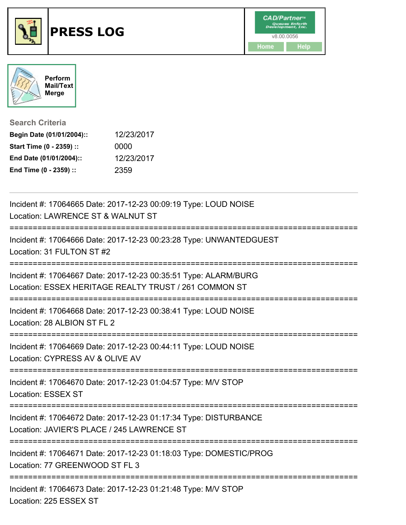





**Search Criteria**

| Begin Date (01/01/2004):: | 12/23/2017 |
|---------------------------|------------|
| Start Time (0 - 2359) ::  | 0000       |
| End Date (01/01/2004)::   | 12/23/2017 |
| End Time (0 - 2359) ::    | 2359       |

| Incident #: 17064665 Date: 2017-12-23 00:09:19 Type: LOUD NOISE<br>Location: LAWRENCE ST & WALNUT ST<br>:======================= |
|----------------------------------------------------------------------------------------------------------------------------------|
| Incident #: 17064666 Date: 2017-12-23 00:23:28 Type: UNWANTEDGUEST<br>Location: 31 FULTON ST #2                                  |
| Incident #: 17064667 Date: 2017-12-23 00:35:51 Type: ALARM/BURG<br>Location: ESSEX HERITAGE REALTY TRUST / 261 COMMON ST         |
| Incident #: 17064668 Date: 2017-12-23 00:38:41 Type: LOUD NOISE<br>Location: 28 ALBION ST FL 2                                   |
| Incident #: 17064669 Date: 2017-12-23 00:44:11 Type: LOUD NOISE<br>Location: CYPRESS AV & OLIVE AV                               |
| Incident #: 17064670 Date: 2017-12-23 01:04:57 Type: M/V STOP<br><b>Location: ESSEX ST</b>                                       |
| Incident #: 17064672 Date: 2017-12-23 01:17:34 Type: DISTURBANCE<br>Location: JAVIER'S PLACE / 245 LAWRENCE ST                   |
| Incident #: 17064671 Date: 2017-12-23 01:18:03 Type: DOMESTIC/PROG<br>Location: 77 GREENWOOD ST FL 3                             |
| Incident #: 17064673 Date: 2017-12-23 01:21:48 Type: M/V STOP<br>Location: 225 ESSEX ST                                          |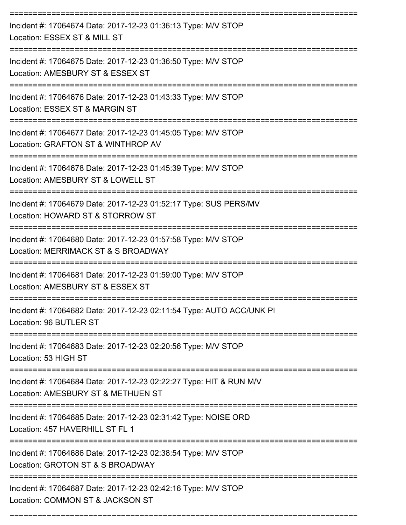| Incident #: 17064674 Date: 2017-12-23 01:36:13 Type: M/V STOP<br>Location: ESSEX ST & MILL ST            |
|----------------------------------------------------------------------------------------------------------|
| Incident #: 17064675 Date: 2017-12-23 01:36:50 Type: M/V STOP<br>Location: AMESBURY ST & ESSEX ST        |
| Incident #: 17064676 Date: 2017-12-23 01:43:33 Type: M/V STOP<br>Location: ESSEX ST & MARGIN ST          |
| Incident #: 17064677 Date: 2017-12-23 01:45:05 Type: M/V STOP<br>Location: GRAFTON ST & WINTHROP AV      |
| Incident #: 17064678 Date: 2017-12-23 01:45:39 Type: M/V STOP<br>Location: AMESBURY ST & LOWELL ST       |
| Incident #: 17064679 Date: 2017-12-23 01:52:17 Type: SUS PERS/MV<br>Location: HOWARD ST & STORROW ST     |
| Incident #: 17064680 Date: 2017-12-23 01:57:58 Type: M/V STOP<br>Location: MERRIMACK ST & S BROADWAY     |
| Incident #: 17064681 Date: 2017-12-23 01:59:00 Type: M/V STOP<br>Location: AMESBURY ST & ESSEX ST        |
| Incident #: 17064682 Date: 2017-12-23 02:11:54 Type: AUTO ACC/UNK PI<br>Location: 96 BUTLER ST           |
| Incident #: 17064683 Date: 2017-12-23 02:20:56 Type: M/V STOP<br>Location: 53 HIGH ST                    |
| Incident #: 17064684 Date: 2017-12-23 02:22:27 Type: HIT & RUN M/V<br>Location: AMESBURY ST & METHUEN ST |
| Incident #: 17064685 Date: 2017-12-23 02:31:42 Type: NOISE ORD<br>Location: 457 HAVERHILL ST FL 1        |
| Incident #: 17064686 Date: 2017-12-23 02:38:54 Type: M/V STOP<br>Location: GROTON ST & S BROADWAY        |
| Incident #: 17064687 Date: 2017-12-23 02:42:16 Type: M/V STOP<br>Location: COMMON ST & JACKSON ST        |

===========================================================================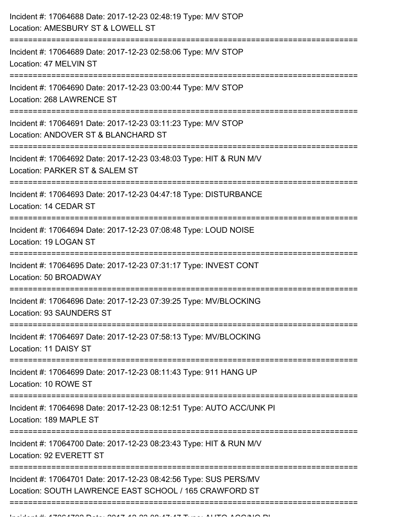| Incident #: 17064688 Date: 2017-12-23 02:48:19 Type: M/V STOP<br>Location: AMESBURY ST & LOWELL ST                            |
|-------------------------------------------------------------------------------------------------------------------------------|
| Incident #: 17064689 Date: 2017-12-23 02:58:06 Type: M/V STOP<br>Location: 47 MELVIN ST<br>--------------------------         |
| Incident #: 17064690 Date: 2017-12-23 03:00:44 Type: M/V STOP<br>Location: 268 LAWRENCE ST                                    |
| Incident #: 17064691 Date: 2017-12-23 03:11:23 Type: M/V STOP<br>Location: ANDOVER ST & BLANCHARD ST<br>===================== |
| Incident #: 17064692 Date: 2017-12-23 03:48:03 Type: HIT & RUN M/V<br>Location: PARKER ST & SALEM ST                          |
| Incident #: 17064693 Date: 2017-12-23 04:47:18 Type: DISTURBANCE<br>Location: 14 CEDAR ST<br>-----------------------------    |
| Incident #: 17064694 Date: 2017-12-23 07:08:48 Type: LOUD NOISE<br>Location: 19 LOGAN ST                                      |
| Incident #: 17064695 Date: 2017-12-23 07:31:17 Type: INVEST CONT<br>Location: 50 BROADWAY                                     |
| Incident #: 17064696 Date: 2017-12-23 07:39:25 Type: MV/BLOCKING<br><b>Location: 93 SAUNDERS ST</b>                           |
| Incident #: 17064697 Date: 2017-12-23 07:58:13 Type: MV/BLOCKING<br>Location: 11 DAISY ST                                     |
| Incident #: 17064699 Date: 2017-12-23 08:11:43 Type: 911 HANG UP<br>Location: 10 ROWE ST                                      |
| Incident #: 17064698 Date: 2017-12-23 08:12:51 Type: AUTO ACC/UNK PI<br>Location: 189 MAPLE ST                                |
| Incident #: 17064700 Date: 2017-12-23 08:23:43 Type: HIT & RUN M/V<br>Location: 92 EVERETT ST                                 |
| Incident #: 17064701 Date: 2017-12-23 08:42:56 Type: SUS PERS/MV<br>Location: SOUTH LAWRENCE EAST SCHOOL / 165 CRAWFORD ST    |
|                                                                                                                               |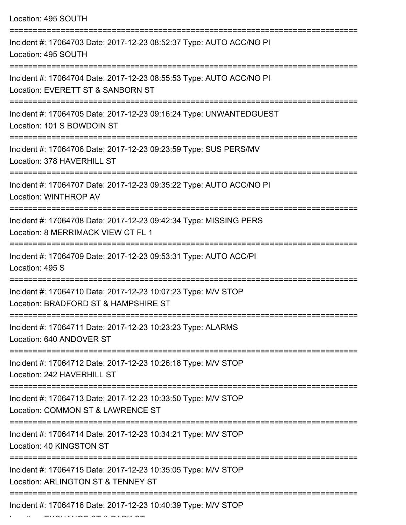| Location: 495 SOUTH                                                                                      |
|----------------------------------------------------------------------------------------------------------|
| Incident #: 17064703 Date: 2017-12-23 08:52:37 Type: AUTO ACC/NO PI<br>Location: 495 SOUTH               |
| Incident #: 17064704 Date: 2017-12-23 08:55:53 Type: AUTO ACC/NO PI<br>Location: EVERETT ST & SANBORN ST |
| Incident #: 17064705 Date: 2017-12-23 09:16:24 Type: UNWANTEDGUEST<br>Location: 101 S BOWDOIN ST         |
| Incident #: 17064706 Date: 2017-12-23 09:23:59 Type: SUS PERS/MV<br>Location: 378 HAVERHILL ST           |
| Incident #: 17064707 Date: 2017-12-23 09:35:22 Type: AUTO ACC/NO PI<br>Location: WINTHROP AV             |
| Incident #: 17064708 Date: 2017-12-23 09:42:34 Type: MISSING PERS<br>Location: 8 MERRIMACK VIEW CT FL 1  |
| Incident #: 17064709 Date: 2017-12-23 09:53:31 Type: AUTO ACC/PI<br>Location: 495 S                      |
| Incident #: 17064710 Date: 2017-12-23 10:07:23 Type: M/V STOP<br>Location: BRADFORD ST & HAMPSHIRE ST    |
| Incident #: 17064711 Date: 2017-12-23 10:23:23 Type: ALARMS<br>Location: 640 ANDOVER ST                  |
| Incident #: 17064712 Date: 2017-12-23 10:26:18 Type: M/V STOP<br>Location: 242 HAVERHILL ST              |
| Incident #: 17064713 Date: 2017-12-23 10:33:50 Type: M/V STOP<br>Location: COMMON ST & LAWRENCE ST       |
| Incident #: 17064714 Date: 2017-12-23 10:34:21 Type: M/V STOP<br>Location: 40 KINGSTON ST                |
| Incident #: 17064715 Date: 2017-12-23 10:35:05 Type: M/V STOP<br>Location: ARLINGTON ST & TENNEY ST      |
| Incident #: 17064716 Date: 2017-12-23 10:40:39 Type: M/V STOP                                            |

Location: EXCHANGE ST & PARK ST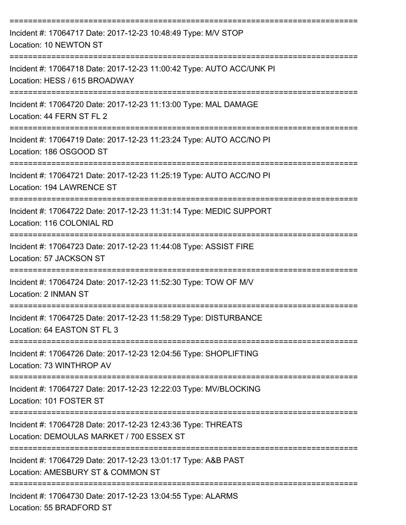| Incident #: 17064717 Date: 2017-12-23 10:48:49 Type: M/V STOP<br>Location: 10 NEWTON ST                                                      |
|----------------------------------------------------------------------------------------------------------------------------------------------|
| Incident #: 17064718 Date: 2017-12-23 11:00:42 Type: AUTO ACC/UNK PI<br>Location: HESS / 615 BROADWAY                                        |
| Incident #: 17064720 Date: 2017-12-23 11:13:00 Type: MAL DAMAGE<br>Location: 44 FERN ST FL 2                                                 |
| Incident #: 17064719 Date: 2017-12-23 11:23:24 Type: AUTO ACC/NO PI<br>Location: 186 OSGOOD ST                                               |
| Incident #: 17064721 Date: 2017-12-23 11:25:19 Type: AUTO ACC/NO PI<br>Location: 194 LAWRENCE ST                                             |
| Incident #: 17064722 Date: 2017-12-23 11:31:14 Type: MEDIC SUPPORT<br>Location: 116 COLONIAL RD                                              |
| Incident #: 17064723 Date: 2017-12-23 11:44:08 Type: ASSIST FIRE<br>Location: 57 JACKSON ST                                                  |
| Incident #: 17064724 Date: 2017-12-23 11:52:30 Type: TOW OF M/V<br>Location: 2 INMAN ST                                                      |
| Incident #: 17064725 Date: 2017-12-23 11:58:29 Type: DISTURBANCE<br>Location: 64 EASTON ST FL 3                                              |
| =============================<br>Incident #: 17064726 Date: 2017-12-23 12:04:56 Type: SHOPLIFTING<br>Location: 73 WINTHROP AV                |
| Incident #: 17064727 Date: 2017-12-23 12:22:03 Type: MV/BLOCKING<br>Location: 101 FOSTER ST                                                  |
| ================================<br>Incident #: 17064728 Date: 2017-12-23 12:43:36 Type: THREATS<br>Location: DEMOULAS MARKET / 700 ESSEX ST |
| Incident #: 17064729 Date: 2017-12-23 13:01:17 Type: A&B PAST<br>Location: AMESBURY ST & COMMON ST                                           |
| Incident #: 17064730 Date: 2017-12-23 13:04:55 Type: ALARMS<br>Location: 55 BRADFORD ST                                                      |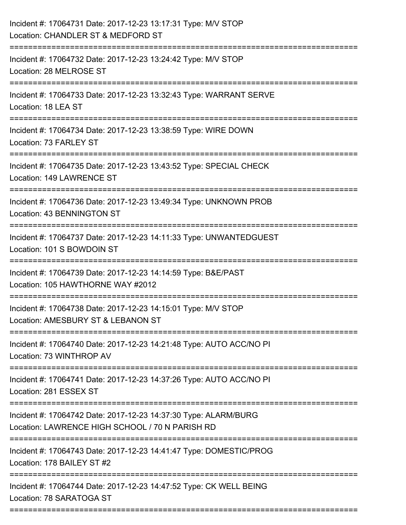| Incident #: 17064731 Date: 2017-12-23 13:17:31 Type: M/V STOP<br>Location: CHANDLER ST & MEDFORD ST                |
|--------------------------------------------------------------------------------------------------------------------|
| Incident #: 17064732 Date: 2017-12-23 13:24:42 Type: M/V STOP<br>Location: 28 MELROSE ST                           |
| Incident #: 17064733 Date: 2017-12-23 13:32:43 Type: WARRANT SERVE<br>Location: 18 LEA ST                          |
| Incident #: 17064734 Date: 2017-12-23 13:38:59 Type: WIRE DOWN<br>Location: 73 FARLEY ST                           |
| Incident #: 17064735 Date: 2017-12-23 13:43:52 Type: SPECIAL CHECK<br>Location: 149 LAWRENCE ST                    |
| Incident #: 17064736 Date: 2017-12-23 13:49:34 Type: UNKNOWN PROB<br>Location: 43 BENNINGTON ST                    |
| Incident #: 17064737 Date: 2017-12-23 14:11:33 Type: UNWANTEDGUEST<br>Location: 101 S BOWDOIN ST                   |
| Incident #: 17064739 Date: 2017-12-23 14:14:59 Type: B&E/PAST<br>Location: 105 HAWTHORNE WAY #2012                 |
| Incident #: 17064738 Date: 2017-12-23 14:15:01 Type: M/V STOP<br>Location: AMESBURY ST & LEBANON ST                |
| Incident #: 17064740 Date: 2017-12-23 14:21:48 Type: AUTO ACC/NO PI<br>Location: 73 WINTHROP AV                    |
| Incident #: 17064741 Date: 2017-12-23 14:37:26 Type: AUTO ACC/NO PI<br>Location: 281 ESSEX ST                      |
| Incident #: 17064742 Date: 2017-12-23 14:37:30 Type: ALARM/BURG<br>Location: LAWRENCE HIGH SCHOOL / 70 N PARISH RD |
| Incident #: 17064743 Date: 2017-12-23 14:41:47 Type: DOMESTIC/PROG<br>Location: 178 BAILEY ST #2                   |
| Incident #: 17064744 Date: 2017-12-23 14:47:52 Type: CK WELL BEING<br>Location: 78 SARATOGA ST                     |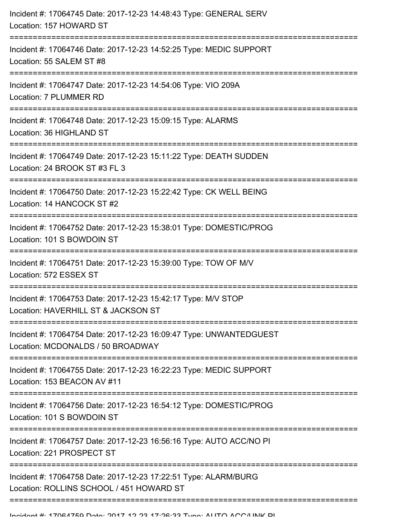| Incident #: 17064745 Date: 2017-12-23 14:48:43 Type: GENERAL SERV<br>Location: 157 HOWARD ST                                      |
|-----------------------------------------------------------------------------------------------------------------------------------|
| Incident #: 17064746 Date: 2017-12-23 14:52:25 Type: MEDIC SUPPORT<br>Location: 55 SALEM ST #8<br>=============================== |
| Incident #: 17064747 Date: 2017-12-23 14:54:06 Type: VIO 209A<br>Location: 7 PLUMMER RD                                           |
| Incident #: 17064748 Date: 2017-12-23 15:09:15 Type: ALARMS<br>Location: 36 HIGHLAND ST                                           |
| Incident #: 17064749 Date: 2017-12-23 15:11:22 Type: DEATH SUDDEN<br>Location: 24 BROOK ST #3 FL 3                                |
| Incident #: 17064750 Date: 2017-12-23 15:22:42 Type: CK WELL BEING<br>Location: 14 HANCOCK ST #2                                  |
| Incident #: 17064752 Date: 2017-12-23 15:38:01 Type: DOMESTIC/PROG<br>Location: 101 S BOWDOIN ST                                  |
| Incident #: 17064751 Date: 2017-12-23 15:39:00 Type: TOW OF M/V<br>Location: 572 ESSEX ST                                         |
| Incident #: 17064753 Date: 2017-12-23 15:42:17 Type: M/V STOP<br>Location: HAVERHILL ST & JACKSON ST                              |
| Incident #: 17064754 Date: 2017-12-23 16:09:47 Type: UNWANTEDGUEST<br>Location: MCDONALDS / 50 BROADWAY                           |
| Incident #: 17064755 Date: 2017-12-23 16:22:23 Type: MEDIC SUPPORT<br>Location: 153 BEACON AV #11                                 |
| Incident #: 17064756 Date: 2017-12-23 16:54:12 Type: DOMESTIC/PROG<br>Location: 101 S BOWDOIN ST                                  |
| Incident #: 17064757 Date: 2017-12-23 16:56:16 Type: AUTO ACC/NO PI<br>Location: 221 PROSPECT ST                                  |
| Incident #: 17064758 Date: 2017-12-23 17:22:51 Type: ALARM/BURG<br>Location: ROLLINS SCHOOL / 451 HOWARD ST                       |
|                                                                                                                                   |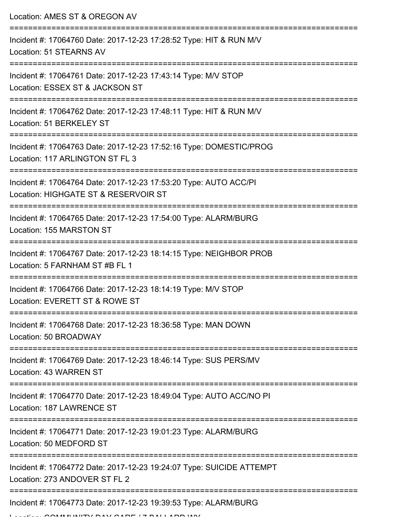Location: AMES ST & OREGON AV

| Incident #: 17064760 Date: 2017-12-23 17:28:52 Type: HIT & RUN M/V<br>Location: 51 STEARNS AV                                    |
|----------------------------------------------------------------------------------------------------------------------------------|
| Incident #: 17064761 Date: 2017-12-23 17:43:14 Type: M/V STOP<br>Location: ESSEX ST & JACKSON ST                                 |
| Incident #: 17064762 Date: 2017-12-23 17:48:11 Type: HIT & RUN M/V<br>Location: 51 BERKELEY ST                                   |
| Incident #: 17064763 Date: 2017-12-23 17:52:16 Type: DOMESTIC/PROG<br>Location: 117 ARLINGTON ST FL 3                            |
| Incident #: 17064764 Date: 2017-12-23 17:53:20 Type: AUTO ACC/PI<br>Location: HIGHGATE ST & RESERVOIR ST                         |
| Incident #: 17064765 Date: 2017-12-23 17:54:00 Type: ALARM/BURG<br>Location: 155 MARSTON ST                                      |
| Incident #: 17064767 Date: 2017-12-23 18:14:15 Type: NEIGHBOR PROB<br>Location: 5 FARNHAM ST #B FL 1                             |
| Incident #: 17064766 Date: 2017-12-23 18:14:19 Type: M/V STOP<br>Location: EVERETT ST & ROWE ST                                  |
| Incident #: 17064768 Date: 2017-12-23 18:36:58 Type: MAN DOWN<br>Location: 50 BROADWAY                                           |
| Incident #: 17064769 Date: 2017-12-23 18:46:14 Type: SUS PERS/MV<br>Location: 43 WARREN ST                                       |
| Incident #: 17064770 Date: 2017-12-23 18:49:04 Type: AUTO ACC/NO PI<br>Location: 187 LAWRENCE ST                                 |
| ==================================<br>Incident #: 17064771 Date: 2017-12-23 19:01:23 Type: ALARM/BURG<br>Location: 50 MEDFORD ST |
| Incident #: 17064772 Date: 2017-12-23 19:24:07 Type: SUICIDE ATTEMPT<br>Location: 273 ANDOVER ST FL 2                            |
| ==========================<br>Incident #: 17064773 Date: 2017-12-23 19:39:53 Type: ALARM/BURG                                    |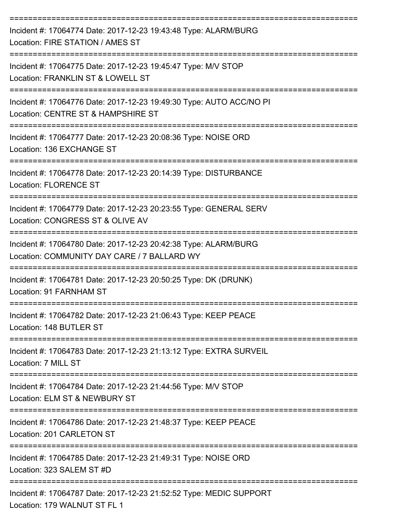| Incident #: 17064774 Date: 2017-12-23 19:43:48 Type: ALARM/BURG<br>Location: FIRE STATION / AMES ST                                 |
|-------------------------------------------------------------------------------------------------------------------------------------|
| Incident #: 17064775 Date: 2017-12-23 19:45:47 Type: M/V STOP<br>Location: FRANKLIN ST & LOWELL ST                                  |
| Incident #: 17064776 Date: 2017-12-23 19:49:30 Type: AUTO ACC/NO PI<br>Location: CENTRE ST & HAMPSHIRE ST                           |
| -----------------------<br>Incident #: 17064777 Date: 2017-12-23 20:08:36 Type: NOISE ORD<br>Location: 136 EXCHANGE ST              |
| Incident #: 17064778 Date: 2017-12-23 20:14:39 Type: DISTURBANCE<br><b>Location: FLORENCE ST</b>                                    |
| Incident #: 17064779 Date: 2017-12-23 20:23:55 Type: GENERAL SERV<br>Location: CONGRESS ST & OLIVE AV                               |
| Incident #: 17064780 Date: 2017-12-23 20:42:38 Type: ALARM/BURG<br>Location: COMMUNITY DAY CARE / 7 BALLARD WY                      |
| Incident #: 17064781 Date: 2017-12-23 20:50:25 Type: DK (DRUNK)<br>Location: 91 FARNHAM ST                                          |
| Incident #: 17064782 Date: 2017-12-23 21:06:43 Type: KEEP PEACE<br>Location: 148 BUTLER ST                                          |
| ===========================<br>Incident #: 17064783 Date: 2017-12-23 21:13:12 Type: EXTRA SURVEIL<br>Location: 7 MILL ST            |
| Incident #: 17064784 Date: 2017-12-23 21:44:56 Type: M/V STOP<br>Location: ELM ST & NEWBURY ST                                      |
| ;==================================<br>Incident #: 17064786 Date: 2017-12-23 21:48:37 Type: KEEP PEACE<br>Location: 201 CARLETON ST |
| Incident #: 17064785 Date: 2017-12-23 21:49:31 Type: NOISE ORD<br>Location: 323 SALEM ST #D                                         |
| Incident #: 17064787 Date: 2017-12-23 21:52:52 Type: MEDIC SUPPORT<br>Location: 179 WALNUT ST FL 1                                  |